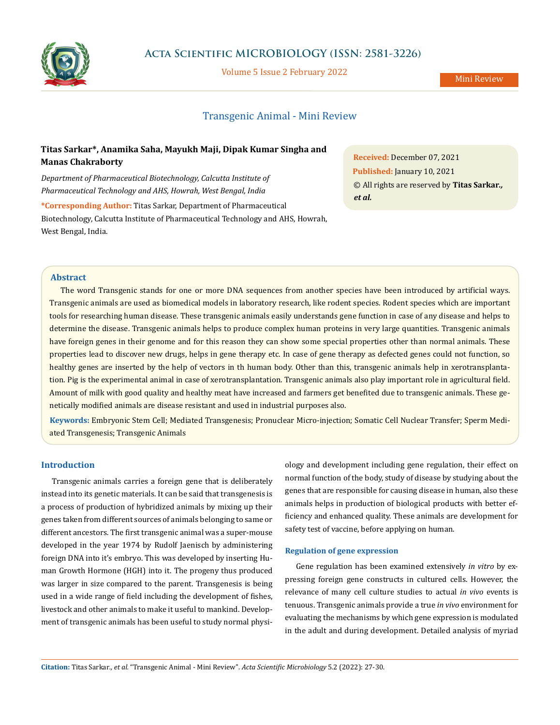

### **Acta Scientific MICROBIOLOGY (ISSN: 2581-3226)**

Volume 5 Issue 2 February 2022

Mini Review

# Transgenic Animal - Mini Review

## **Titas Sarkar\*, Anamika Saha, Mayukh Maji, Dipak Kumar Singha and Manas Chakraborty**

*Department of Pharmaceutical Biotechnology, Calcutta Institute of Pharmaceutical Technology and AHS, Howrah, West Bengal, India*

**\*Corresponding Author:** Titas Sarkar, Department of Pharmaceutical Biotechnology, Calcutta Institute of Pharmaceutical Technology and AHS, Howrah, West Bengal, India.

**Received:** December 07, 2021 **Published:** January 10, 2021 © All rights are reserved by **Titas Sarkar***., et al.*

### **Abstract**

The word Transgenic stands for one or more DNA sequences from another species have been introduced by artificial ways. Transgenic animals are used as biomedical models in laboratory research, like rodent species. Rodent species which are important tools for researching human disease. These transgenic animals easily understands gene function in case of any disease and helps to determine the disease. Transgenic animals helps to produce complex human proteins in very large quantities. Transgenic animals have foreign genes in their genome and for this reason they can show some special properties other than normal animals. These properties lead to discover new drugs, helps in gene therapy etc. In case of gene therapy as defected genes could not function, so healthy genes are inserted by the help of vectors in th human body. Other than this, transgenic animals help in xerotransplantation. Pig is the experimental animal in case of xerotransplantation. Transgenic animals also play important role in agricultural field. Amount of milk with good quality and healthy meat have increased and farmers get benefited due to transgenic animals. These genetically modified animals are disease resistant and used in industrial purposes also.

**Keywords:** Embryonic Stem Cell; Mediated Transgenesis; Pronuclear Micro-injection; Somatic Cell Nuclear Transfer; Sperm Mediated Transgenesis; Transgenic Animals

#### **Introduction**

Transgenic animals carries a foreign gene that is deliberately instead into its genetic materials. It can be said that transgenesis is a process of production of hybridized animals by mixing up their genes taken from different sources of animals belonging to same or different ancestors. The first transgenic animal was a super-mouse developed in the year 1974 by Rudolf Jaenisch by administering foreign DNA into it's embryo. This was developed by inserting Human Growth Hormone (HGH) into it. The progeny thus produced was larger in size compared to the parent. Transgenesis is being used in a wide range of field including the development of fishes, livestock and other animals to make it useful to mankind. Development of transgenic animals has been useful to study normal physiology and development including gene regulation, their effect on normal function of the body, study of disease by studying about the genes that are responsible for causing disease in human, also these animals helps in production of biological products with better efficiency and enhanced quality. These animals are development for safety test of vaccine, before applying on human.

#### **Regulation of gene expression**

Gene regulation has been examined extensively *in vitro* by expressing foreign gene constructs in cultured cells. However, the relevance of many cell culture studies to actual *in vivo* events is tenuous. Transgenic animals provide a true *in vivo* environment for evaluating the mechanisms by which gene expression is modulated in the adult and during development. Detailed analysis of myriad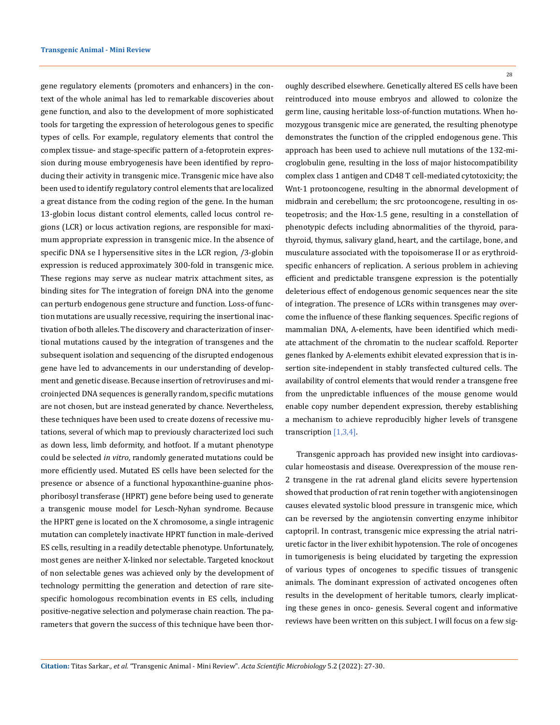gene regulatory elements (promoters and enhancers) in the context of the whole animal has led to remarkable discoveries about gene function, and also to the development of more sophisticated tools for targeting the expression of heterologous genes to specific types of cells. For example, regulatory elements that control the complex tissue- and stage-specific pattern of a-fetoprotein expression during mouse embryogenesis have been identified by reproducing their activity in transgenic mice. Transgenic mice have also been used to identify regulatory control elements that are localized a great distance from the coding region of the gene. In the human 13-globin locus distant control elements, called locus control regions (LCR) or locus activation regions, are responsible for maximum appropriate expression in transgenic mice. In the absence of specific DNA se I hypersensitive sites in the LCR region, /3-globin expression is reduced approximately 300-fold in transgenic mice. These regions may serve as nuclear matrix attachment sites, as binding sites for The integration of foreign DNA into the genome can perturb endogenous gene structure and function. Loss-of function mutations are usually recessive, requiring the insertional inactivation of both alleles. The discovery and characterization of insertional mutations caused by the integration of transgenes and the subsequent isolation and sequencing of the disrupted endogenous gene have led to advancements in our understanding of development and genetic disease. Because insertion of retroviruses and microinjected DNA sequences is generally random, specific mutations are not chosen, but are instead generated by chance. Nevertheless, these techniques have been used to create dozens of recessive mutations, several of which map to previously characterized loci such as down less, limb deformity, and hotfoot. If a mutant phenotype could be selected *in vitro*, randomly generated mutations could be more efficiently used. Mutated ES cells have been selected for the presence or absence of a functional hypoxanthine-guanine phosphoribosyl transferase (HPRT) gene before being used to generate a transgenic mouse model for Lesch-Nyhan syndrome. Because the HPRT gene is located on the X chromosome, a single intragenic mutation can completely inactivate HPRT function in male-derived ES cells, resulting in a readily detectable phenotype. Unfortunately, most genes are neither X-linked nor selectable. Targeted knockout of non selectable genes was achieved only by the development of technology permitting the generation and detection of rare sitespecific homologous recombination events in ES cells, including positive-negative selection and polymerase chain reaction. The parameters that govern the success of this technique have been thor28

oughly described elsewhere. Genetically altered ES cells have been reintroduced into mouse embryos and allowed to colonize the germ line, causing heritable loss-of-function mutations. When homozygous transgenic mice are generated, the resulting phenotype demonstrates the function of the crippled endogenous gene. This approach has been used to achieve null mutations of the 132-microglobulin gene, resulting in the loss of major histocompatibility complex class 1 antigen and CD48 T cell-mediated cytotoxicity; the Wnt-1 protooncogene, resulting in the abnormal development of midbrain and cerebellum; the src protooncogene, resulting in osteopetrosis; and the Hox-1.5 gene, resulting in a constellation of phenotypic defects including abnormalities of the thyroid, parathyroid, thymus, salivary gland, heart, and the cartilage, bone, and musculature associated with the topoisomerase II or as erythroidspecific enhancers of replication. A serious problem in achieving efficient and predictable transgene expression is the potentially deleterious effect of endogenous genomic sequences near the site of integration. The presence of LCRs within transgenes may overcome the influence of these flanking sequences. Specific regions of mammalian DNA, A-elements, have been identified which mediate attachment of the chromatin to the nuclear scaffold. Reporter genes flanked by A-elements exhibit elevated expression that is insertion site-independent in stably transfected cultured cells. The availability of control elements that would render a transgene free from the unpredictable influences of the mouse genome would enable copy number dependent expression, thereby establishing a mechanism to achieve reproducibly higher levels of transgene transcription [1,3,4].

Transgenic approach has provided new insight into cardiovascular homeostasis and disease. Overexpression of the mouse ren-2 transgene in the rat adrenal gland elicits severe hypertension showed that production of rat renin together with angiotensinogen causes elevated systolic blood pressure in transgenic mice, which can be reversed by the angiotensin converting enzyme inhibitor captopril. In contrast, transgenic mice expressing the atrial natriuretic factor in the liver exhibit hypotension. The role of oncogenes in tumorigenesis is being elucidated by targeting the expression of various types of oncogenes to specific tissues of transgenic animals. The dominant expression of activated oncogenes often results in the development of heritable tumors, clearly implicating these genes in onco- genesis. Several cogent and informative reviews have been written on this subject. I will focus on a few sig-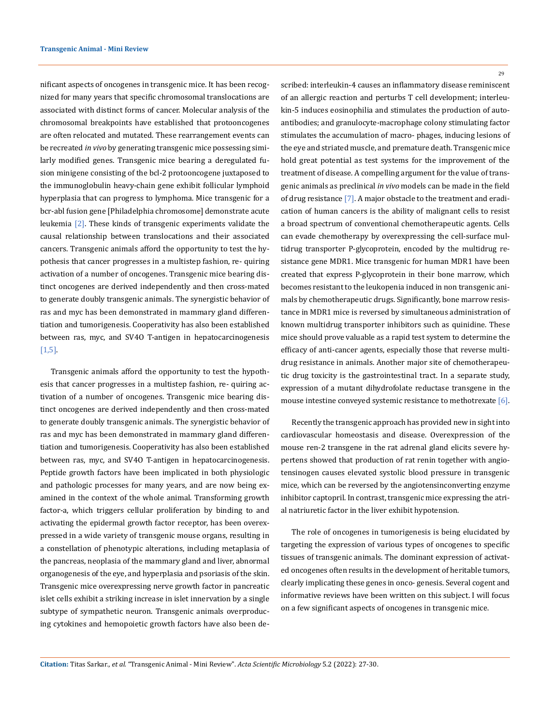nificant aspects of oncogenes in transgenic mice. It has been recognized for many years that specific chromosomal translocations are associated with distinct forms of cancer. Molecular analysis of the chromosomal breakpoints have established that protooncogenes are often relocated and mutated. These rearrangement events can be recreated *in vivo* by generating transgenic mice possessing similarly modified genes. Transgenic mice bearing a deregulated fusion minigene consisting of the bcl-2 protooncogene juxtaposed to the immunoglobulin heavy-chain gene exhibit follicular lymphoid hyperplasia that can progress to lymphoma. Mice transgenic for a bcr-abl fusion gene [Philadelphia chromosome] demonstrate acute leukemia [2]. These kinds of transgenic experiments validate the causal relationship between translocations and their associated cancers. Transgenic animals afford the opportunity to test the hypothesis that cancer progresses in a multistep fashion, re- quiring activation of a number of oncogenes. Transgenic mice bearing distinct oncogenes are derived independently and then cross-mated to generate doubly transgenic animals. The synergistic behavior of ras and myc has been demonstrated in mammary gland differentiation and tumorigenesis. Cooperativity has also been established between ras, myc, and SV4O T-antigen in hepatocarcinogenesis [1,5].

Transgenic animals afford the opportunity to test the hypothesis that cancer progresses in a multistep fashion, re- quiring activation of a number of oncogenes. Transgenic mice bearing distinct oncogenes are derived independently and then cross-mated to generate doubly transgenic animals. The synergistic behavior of ras and myc has been demonstrated in mammary gland differentiation and tumorigenesis. Cooperativity has also been established between ras, myc, and SV4O T-antigen in hepatocarcinogenesis. Peptide growth factors have been implicated in both physiologic and pathologic processes for many years, and are now being examined in the context of the whole animal. Transforming growth factor-a, which triggers cellular proliferation by binding to and activating the epidermal growth factor receptor, has been overexpressed in a wide variety of transgenic mouse organs, resulting in a constellation of phenotypic alterations, including metaplasia of the pancreas, neoplasia of the mammary gland and liver, abnormal organogenesis of the eye, and hyperplasia and psoriasis of the skin. Transgenic mice overexpressing nerve growth factor in pancreatic islet cells exhibit a striking increase in islet innervation by a single subtype of sympathetic neuron. Transgenic animals overproducing cytokines and hemopoietic growth factors have also been de29

scribed: interleukin-4 causes an inflammatory disease reminiscent of an allergic reaction and perturbs T cell development; interleukin-5 induces eosinophilia and stimulates the production of autoantibodies; and granulocyte-macrophage colony stimulating factor stimulates the accumulation of macro- phages, inducing lesions of the eye and striated muscle, and premature death. Transgenic mice hold great potential as test systems for the improvement of the treatment of disease. A compelling argument for the value of transgenic animals as preclinical *in vivo* models can be made in the field of drug resistance [7]. A major obstacle to the treatment and eradication of human cancers is the ability of malignant cells to resist a broad spectrum of conventional chemotherapeutic agents. Cells can evade chemotherapy by overexpressing the cell-surface multidrug transporter P-glycoprotein, encoded by the multidrug resistance gene MDR1. Mice transgenic for human MDR1 have been created that express P-glycoprotein in their bone marrow, which becomes resistant to the leukopenia induced in non transgenic animals by chemotherapeutic drugs. Significantly, bone marrow resistance in MDR1 mice is reversed by simultaneous administration of known multidrug transporter inhibitors such as quinidine. These mice should prove valuable as a rapid test system to determine the efficacy of anti-cancer agents, especially those that reverse multidrug resistance in animals. Another major site of chemotherapeutic drug toxicity is the gastrointestinal tract. In a separate study, expression of a mutant dihydrofolate reductase transgene in the mouse intestine conveyed systemic resistance to methotrexate [6].

Recently the transgenic approach has provided new in sight into cardiovascular homeostasis and disease. Overexpression of the mouse ren-2 transgene in the rat adrenal gland elicits severe hypertens showed that production of rat renin together with angiotensinogen causes elevated systolic blood pressure in transgenic mice, which can be reversed by the angiotensinconverting enzyme inhibitor captopril. In contrast, transgenic mice expressing the atrial natriuretic factor in the liver exhibit hypotension.

The role of oncogenes in tumorigenesis is being elucidated by targeting the expression of various types of oncogenes to specific tissues of transgenic animals. The dominant expression of activated oncogenes often results in the development of heritable tumors, clearly implicating these genes in onco- genesis. Several cogent and informative reviews have been written on this subject. I will focus on a few significant aspects of oncogenes in transgenic mice.